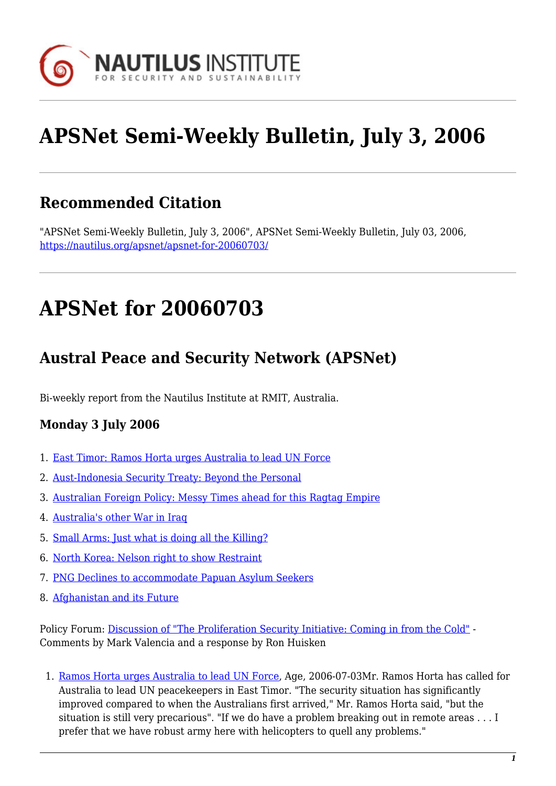

# **APSNet Semi-Weekly Bulletin, July 3, 2006**

## **Recommended Citation**

"APSNet Semi-Weekly Bulletin, July 3, 2006", APSNet Semi-Weekly Bulletin, July 03, 2006, <https://nautilus.org/apsnet/apsnet-for-20060703/>

# **APSNet for 20060703**

### **Austral Peace and Security Network (APSNet)**

Bi-weekly report from the Nautilus Institute at RMIT, Australia.

### **Monday 3 July 2006**

- 1. [East Timor: Ramos Horta urges Australia to lead UN Force](#page--1-0)
- 2. [Aust-Indonesia Security Treaty: Beyond the Personal](#page--1-0)
- 3. [Australian Foreign Policy: Messy Times ahead for this Ragtag Empire](#page--1-0)
- 4. [Australia's other War in Iraq](#page--1-0)
- 5. [Small Arms: Just what is doing all the Killing?](#page--1-0)
- 6. [North Korea: Nelson right to show Restraint](#page--1-0)
- 7. [PNG Declines to accommodate Papuan Asylum Seekers](#page--1-0)
- 8. [Afghanistan and its Future](#page--1-0)

Policy Forum: [Discussion of "The Proliferation Security Initiative: Coming in from the Cold"](#page--1-0) - Comments by Mark Valencia and a response by Ron Huisken

1. [Ramos Horta urges Australia to lead UN Force,](http://www.theage.com.au/news/world/ramos-horta-urges-australia-to-lead-un-force/2006/07/02/1151778815377.html) Age, 2006-07-03Mr. Ramos Horta has called for Australia to lead UN peacekeepers in East Timor. "The security situation has significantly improved compared to when the Australians first arrived," Mr. Ramos Horta said, "but the situation is still very precarious". "If we do have a problem breaking out in remote areas . . . I prefer that we have robust army here with helicopters to quell any problems."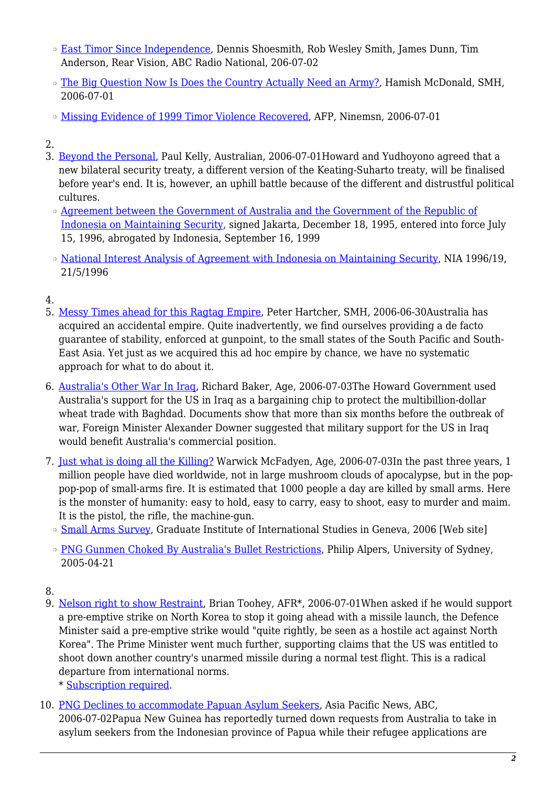- ❍ [East Timor Since Independence,](http://www.abc.net.au/rn/rearvision/stories/2006/1674741.htm) Dennis Shoesmith, Rob Wesley Smith, James Dunn, Tim Anderson, Rear Vision, ABC Radio National, 206-07-02
- ❍ [The Big Question Now Is Does the Country Actually Need an Army?](http://www.smh.com.au/news/world/the-big-question-now-is-does-the-country-actually-need-an-army/2006/06/30/1151174393398.html?page=fullpage), Hamish McDonald, SMH, 2006-07-01
- o [Missing Evidence of 1999 Timor Violence Recovered](http://news.ninemsn.com.au/article.aspx?id=110518), AFP, Ninemsn, 2006-07-01
- 2.
- 3. [Beyond the Personal,](http://www.theaustralian.news.com.au/story/0,20867,19642295-12250,00.html) Paul Kelly, Australian, 2006-07-01Howard and Yudhoyono agreed that a new bilateral security treaty, a different version of the Keating-Suharto treaty, will be finalised before year's end. It is, however, an uphill battle because of the different and distrustful political cultures.
	- ❍ [Agreement between the Government of Australia and the Government of the Republic of](http://www.info.dfat.gov.au/Info/Treaties/treaties.nsf/AllDocIDs/A15369B9E47F7A04CA256B830072E3D) [Indonesia on Maintaining Security,](http://www.info.dfat.gov.au/Info/Treaties/treaties.nsf/AllDocIDs/A15369B9E47F7A04CA256B830072E3D) signed Jakarta, December 18, 1995, entered into force July 15, 1996, abrogated by Indonesia, September 16, 1999
	- ❍ [National Interest Analysis of Agreement with Indonesia on Maintaining Security](http://www.austlii.edu.au/au/other/dfat/nia/1996/19.html), NIA 1996/19, 21/5/1996
- 4.
- 5. [Messy Times ahead for this Ragtag Empire,](http://www.smh.com.au/news/opinion/messy-times-ahead-for-this-ragtag-empire/2006/06/29/1151174328870.html?page=fullpage) Peter Hartcher, SMH, 2006-06-30Australia has acquired an accidental empire. Quite inadvertently, we find ourselves providing a de facto guarantee of stability, enforced at gunpoint, to the small states of the South Pacific and South-East Asia. Yet just as we acquired this ad hoc empire by chance, we have no systematic approach for what to do about it.
- 6. [Australia's Other War In Iraq,](http://www.theage.com.au/news/national/australias-other-war-in-iraq/2006/07/02/1151778811475.html?page=fullpage) Richard Baker, Age, 2006-07-03The Howard Government used Australia's support for the US in Iraq as a bargaining chip to protect the multibillion-dollar wheat trade with Baghdad. Documents show that more than six months before the outbreak of war, Foreign Minister Alexander Downer suggested that military support for the US in Iraq would benefit Australia's commercial position.
- 7. [Just what is doing all the Killing?](http://www.theage.com.au/news/opinion/just-what-is-doing-all-the-killing/2006/07/02/1151778806335.html) Warwick McFadyen, Age, 2006-07-03In the past three years, 1 million people have died worldwide, not in large mushroom clouds of apocalypse, but in the poppop-pop of small-arms fire. It is estimated that 1000 people a day are killed by small arms. Here is the monster of humanity: easy to hold, easy to carry, easy to shoot, easy to murder and maim. It is the pistol, the rifle, the machine-gun.
- [Small Arms Survey](http://hei.unige.ch/sas/), Graduate Institute of International Studies in Geneva, 2006 [Web site]
- ❍ [PNG Gunmen Choked By Australia's Bullet Restrictions](http://www.usyd.edu.au/news/84.html?newsstoryid=92), Philip Alpers, University of Sydney, 2005-04-21
- 8.
- 9. [Nelson right to show Restraint,](http://newsstore.fairfax.com.au/apps/newsSearch.ac?page=1&kw=Nelson Right To Show Restraint&dr=week&rc=10&submit=Search) Brian Toohey, AFR\*, 2006-07-01When asked if he would support a pre-emptive strike on North Korea to stop it going ahead with a missile launch, the Defence Minister said a pre-emptive strike would "quite rightly, be seen as a hostile act against North Korea". The Prime Minister went much further, supporting claims that the US was entitled to shoot down another country's unarmed missile during a normal test flight. This is a radical departure from international norms.
	- \* [Subscription required](http://nautilus.org/subscription.html).
- 10. [PNG Declines to accommodate Papuan Asylum Seekers](http://abcasiapacific.com/news/stories/asiapacific_stories_1676746.htm), Asia Pacific News, ABC, 2006-07-02Papua New Guinea has reportedly turned down requests from Australia to take in asylum seekers from the Indonesian province of Papua while their refugee applications are